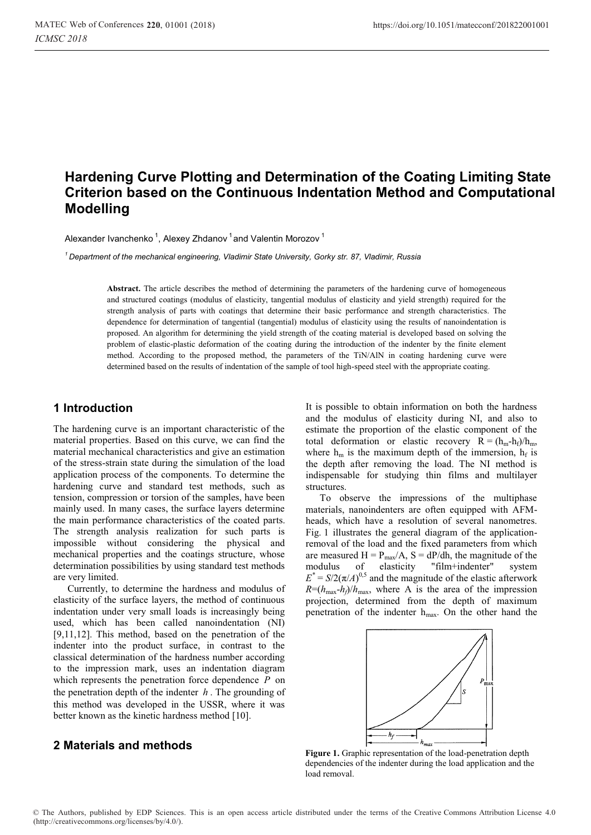# **Hardening Curve Plotting and Determination of the Coating Limiting State Criterion based on the Continuous Indentation Method and Computational Modelling**

Alexander Ivanchenko<sup>1</sup>, Alexey Zhdanov<sup>1</sup> and Valentin Morozov<sup>1</sup>

*1 Department of the mechanical engineering, Vladimir State University, Gorky str. 87, Vladimir, Russia* 

Abstract. The article describes the method of determining the parameters of the hardening curve of homogeneous and structured coatings (modulus of elasticity, tangential modulus of elasticity and yield strength) required for the strength analysis of parts with coatings that determine their basic performance and strength characteristics. The dependence for determination of tangential (tangential) modulus of elasticity using the results of nanoindentation is proposed. An algorithm for determining the yield strength of the coating material is developed based on solving the problem of elastic-plastic deformation of the coating during the introduction of the indenter by the finite element method. According to the proposed method, the parameters of the TiN/AlN in coating hardening curve were determined based on the results of indentation of the sample of tool high-speed steel with the appropriate coating.

### **1 Introduction**

The hardening curve is an important characteristic of the material properties. Based on this curve, we can find the material mechanical characteristics and give an estimation of the stress-strain state during the simulation of the load application process of the components. To determine the hardening curve and standard test methods, such as tension, compression or torsion of the samples, have been mainly used. In many cases, the surface layers determine the main performance characteristics of the coated parts. The strength analysis realization for such parts is impossible without considering the physical and mechanical properties and the coatings structure, whose determination possibilities by using standard test methods are very limited.

Currently, to determine the hardness and modulus of elasticity of the surface layers, the method of continuous indentation under very small loads is increasingly being used, which has been called nanoindentation (NI) [9,11,12]. This method, based on the penetration of the indenter into the product surface, in contrast to the classical determination of the hardness number according to the impression mark, uses an indentation diagram which represents the penetration force dependence *P* on the penetration depth of the indenter *h* . The grounding of this method was developed in the USSR, where it was better known as the kinetic hardness method [10].

### **2 Materials and methods**

It is possible to obtain information on both the hardness and the modulus of elasticity during NI, and also to estimate the proportion of the elastic component of the total deformation or elastic recovery  $R = (h_m - h_f)/h_m$ , where  $h_m$  is the maximum depth of the immersion,  $h_f$  is the depth after removing the load. The NI method is indispensable for studying thin films and multilayer structures.

To observe the impressions of the multiphase materials, nanoindenters are often equipped with AFMheads, which have a resolution of several nanometres. Fig. 1 illustrates the general diagram of the applicationremoval of the load and the fixed parameters from which are measured  $H = P_{max}/A$ ,  $S = dP/dh$ , the magnitude of the modulus of elasticity "film+indenter" system  $E^* = S/2(\pi/A)^{0.5}$  and the magnitude of the elastic afterwork  $R=(h_{\text{max}}-h_f)/h_{\text{max}}$ , where A is the area of the impression projection, determined from the depth of maximum penetration of the indenter hmax. On the other hand the



**Figure 1.** Graphic representation of the load-penetration depth dependencies of the indenter during the load application and the load removal.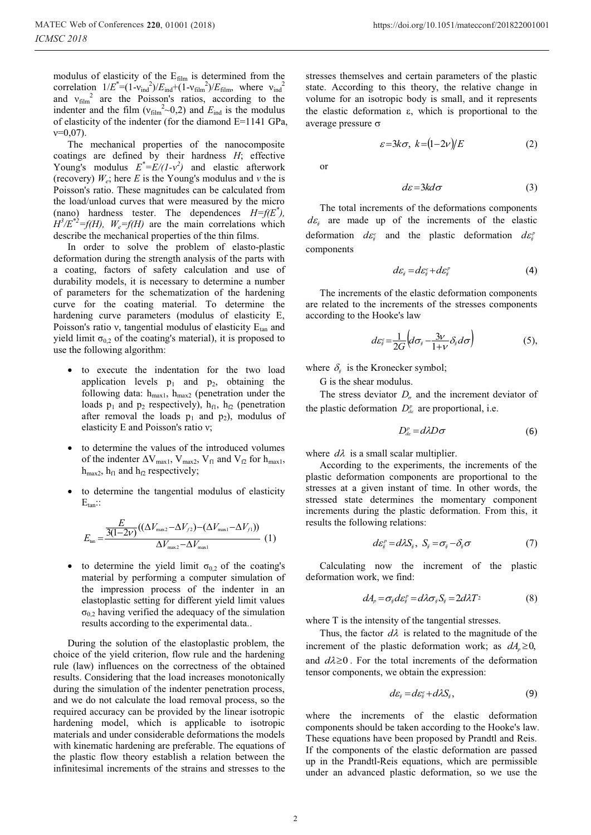modulus of elasticity of the  $E_{film}$  is determined from the correlation  $1/E^* = (1 - v_{\text{ind}}^2)/E_{\text{ind}} + (1 - v_{\text{film}}^2)/E_{\text{film}}$ , where  $v_{\text{ind}}^2$ and  $v_{\text{film}}^2$  are the Poisson's ratios, according to the indenter and the film  $(v_{film}^2 \sim 0.2)$  and  $E_{ind}$  is the modulus of elasticity of the indenter (for the diamond E=1141 GPa,  $v=0.07$ ).

The mechanical properties of the nanocomposite coatings are defined by their hardness *H*; effective Young's modulus  $E^* = E/(1-v^2)$  and elastic afterwork (recovery)  $W_e$ ; here *E* is the Young's modulus and *ν* the is Poisson's ratio. These magnitudes can be calculated from the load/unload curves that were measured by the micro (nano) hardness tester. The dependences  $H=f(E^*)$ ,  $H^3/E^{*2} = f(H)$ ,  $W_e = f(H)$  are the main correlations which describe the mechanical properties of the thin films.

In order to solve the problem of elasto-plastic deformation during the strength analysis of the parts with a coating, factors of safety calculation and use of durability models, it is necessary to determine a number of parameters for the schematization of the hardening curve for the coating material. To determine the hardening curve parameters (modulus of elasticity E, Poisson's ratio  $v$ , tangential modulus of elasticity  $E_{tan}$  and yield limit  $\sigma_{0,2}$  of the coating's material), it is proposed to use the following algorithm:

- to execute the indentation for the two load application levels  $p_1$  and  $p_2$ , obtaining the following data:  $h_{max1}$ ,  $h_{max2}$  (penetration under the loads  $p_1$  and  $p_2$  respectively),  $h_{f1}$ ,  $h_{f2}$  (penetration after removal the loads  $p_1$  and  $p_2$ ), modulus of elasticity E and Poisson's ratio ν;
- to determine the values of the introduced volumes of the indenter  $\Delta V_{max1}$ ,  $V_{max2}$ ,  $V_{f1}$  and  $V_{f2}$  for  $h_{max1}$ ,  $h_{max2}$ ,  $h_{f1}$  and  $h_{f2}$  respectively;
- to determine the tangential modulus of elasticity  $E_{tan}$ ::

$$
E_{\text{tan}} = \frac{\frac{E}{3(1-2v)}((\Delta V_{\text{max2}} - \Delta V_{f2}) - (\Delta V_{\text{max1}} - \Delta V_{f1}))}{\Delta V_{\text{max2}} - \Delta V_{\text{max1}}} (1)
$$

to determine the yield limit  $\sigma_{0,2}$  of the coating's material by performing a computer simulation of the impression process of the indenter in an elastoplastic setting for different yield limit values  $\sigma_{0,2}$  having verified the adequacy of the simulation results according to the experimental data..

During the solution of the elastoplastic problem, the choice of the yield criterion, flow rule and the hardening rule (law) influences on the correctness of the obtained results. Considering that the load increases monotonically during the simulation of the indenter penetration process, and we do not calculate the load removal process, so the required accuracy can be provided by the linear isotropic hardening model, which is applicable to isotropic materials and under considerable deformations the models with kinematic hardening are preferable. The equations of the plastic flow theory establish a relation between the infinitesimal increments of the strains and stresses to the

stresses themselves and certain parameters of the plastic state. According to this theory, the relative change in volume for an isotropic body is small, and it represents the elastic deformation  $\varepsilon$ , which is proportional to the average pressure  $\sigma$ 

$$
\varepsilon = 3k\sigma, \ k = (1 - 2\nu)/E \tag{2}
$$

or

$$
d\varepsilon = 3kd\sigma \tag{3}
$$

The total increments of the deformations components  $d\varepsilon$  are made up of the increments of the elastic deformation  $d\varepsilon_i^e$  and the plastic deformation  $d\varepsilon_i^p$ components

$$
d\varepsilon_{ij} = d\varepsilon_{ij}^e + d\varepsilon_{ij}^p \tag{4}
$$

The increments of the elastic deformation components are related to the increments of the stresses components according to the Hooke's law

$$
d\varepsilon_{ij}^{\varepsilon} = \frac{1}{2G} \Big( d\sigma_{ij} - \frac{3\nu}{1+\nu} \delta_{ij} d\sigma \Big) \tag{5},
$$

where  $\delta_i$  is the Kronecker symbol;

G is the shear modulus.

The stress deviator  $D_{\sigma}$  and the increment deviator of the plastic deformation  $D_{dx}^{p}$  are proportional, i.e.

$$
D_{de}^{\rho} = d\lambda D\sigma \tag{6}
$$

where  $d\lambda$  is a small scalar multiplier.

According to the experiments, the increments of the plastic deformation components are proportional to the stresses at a given instant of time. In other words, the stressed state determines the momentary component increments during the plastic deformation. From this, it results the following relations:

$$
d\varepsilon_{ij}^p = d\lambda S_{ij}, \ S_{ij} = \sigma_{ij} - \delta_{ij}\sigma \tag{7}
$$

Calculating now the increment of the plastic deformation work, we find:

$$
dA_p = \sigma_{ij} d\varepsilon_{ij}^p = d\lambda \sigma_{ij} S_{ij} = 2d\lambda T^2 \tag{8}
$$

where T is the intensity of the tangential stresses.

Thus, the factor  $d\lambda$  is related to the magnitude of the increment of the plastic deformation work; as  $dA_n \ge 0$ , and  $d\lambda \geq 0$ . For the total increments of the deformation tensor components, we obtain the expression:

$$
d\varepsilon_{ij} = d\varepsilon_{ij}^e + d\lambda S_{ij},\qquad(9)
$$

where the increments of the elastic deformation components should be taken according to the Hooke's law. These equations have been proposed by Prandtl and Reis. If the components of the elastic deformation are passed up in the Prandtl-Reis equations, which are permissible under an advanced plastic deformation, so we use the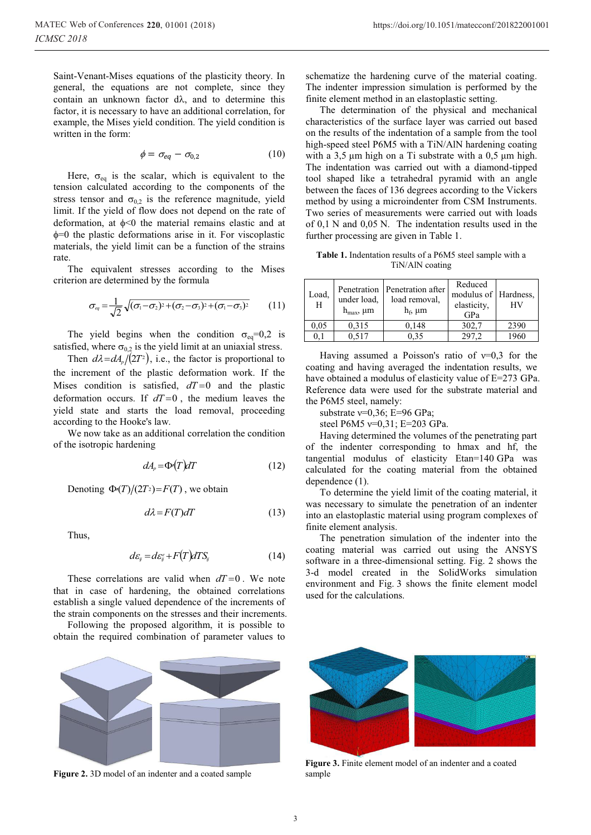$$
\phi = \sigma_{eq} - \sigma_{0,2} \tag{10}
$$

Here,  $\sigma_{eq}$  is the scalar, which is equivalent to the tension calculated according to the components of the stress tensor and  $\sigma_{0,2}$  is the reference magnitude, yield limit. If the yield of flow does not depend on the rate of deformation, at  $\phi$ <0 the material remains elastic and at  $\phi$ =0 the plastic deformations arise in it. For viscoplastic materials, the yield limit can be a function of the strains rate.

The equivalent stresses according to the Mises criterion are determined by the formula

$$
\sigma_{\scriptscriptstyle eq} = \frac{1}{\sqrt{2}} \sqrt{(\sigma_1 - \sigma_2)^2 + (\sigma_2 - \sigma_3)^2 + (\sigma_1 - \sigma_3)^2}
$$
 (11)

The yield begins when the condition  $\sigma_{eq}=0.2$  is satisfied, where  $\sigma_{0,2}$  is the yield limit at an uniaxial stress.

Then  $d\lambda = dA_p/(2T^2)$ , i.e., the factor is proportional to the increment of the plastic deformation work. If the Mises condition is satisfied,  $dT=0$  and the plastic deformation occurs. If  $dT=0$ , the medium leaves the yield state and starts the load removal, proceeding according to the Hooke's law.

We now take as an additional correlation the condition of the isotropic hardening

$$
dA_p = \Phi(T)dT \tag{12}
$$

Denoting  $\Phi(T)/(2T^2) = F(T)$ , we obtain

$$
d\lambda = F(T)dT \tag{13}
$$

Thus,

$$
d\varepsilon_{ij} = d\varepsilon_{ij}^e + F(T)dTS_{ij}
$$
 (14)

These correlations are valid when  $dT=0$ . We note that in case of hardening, the obtained correlations establish a single valued dependence of the increments of the strain components on the stresses and their increments.

Following the proposed algorithm, it is possible to obtain the required combination of parameter values to

schematize the hardening curve of the material coating. The indenter impression simulation is performed by the finite element method in an elastoplastic setting.

The determination of the physical and mechanical characteristics of the surface layer was carried out based on the results of the indentation of a sample from the tool high-speed steel P6M5 with a TiN/AlN hardening coating with a  $3.5 \mu m$  high on a Ti substrate with a  $0.5 \mu m$  high. The indentation was carried out with a diamond-tipped tool shaped like a tetrahedral pyramid with an angle between the faces of 136 degrees according to the Vickers method by using a microindenter from CSM Instruments. Two series of measurements were carried out with loads of 0,1 N and 0,05 N. The indentation results used in the further processing are given in Table 1.

**Table 1.** Indentation results of a P6M5 steel sample with a TiN/AlN coating

| Load.<br>H | under load,<br>$h_{\text{max}}$ , $\mu$ m | Penetration   Penetration after<br>load removal.<br>$h_f$ , $\mu$ m | Reduced<br>modulus of Hardness,<br>elasticity,<br>GPa | НV   |
|------------|-------------------------------------------|---------------------------------------------------------------------|-------------------------------------------------------|------|
| 0.05       | 0,315                                     | 0,148                                                               | 302,7                                                 | 2390 |
| 0.1        | 0.517                                     | 0.35                                                                | 297.2                                                 | 1960 |

Having assumed a Poisson's ratio of  $v=0.3$  for the coating and having averaged the indentation results, we have obtained a modulus of elasticity value of E=273 GPa. Reference data were used for the substrate material and the P6M5 steel, namely:

substrate *v*=0,36; E=96 GPa;

steel P6M5 ν=0,31; E=203 GPa.

Having determined the volumes of the penetrating part of the indenter corresponding to hmax and hf, the tangential modulus of elasticity Etan=140 GPa was calculated for the coating material from the obtained dependence (1).

To determine the yield limit of the coating material, it was necessary to simulate the penetration of an indenter into an elastoplastic material using program complexes of finite element analysis.

The penetration simulation of the indenter into the coating material was carried out using the ANSYS software in a three-dimensional setting. Fig. 2 shows the 3-d model created in the SolidWorks simulation environment and Fig. 3 shows the finite element model used for the calculations.



Figure 2. 3D model of an indenter and a coated sample



**Figure 3.** Finite element model of an indenter and a coated